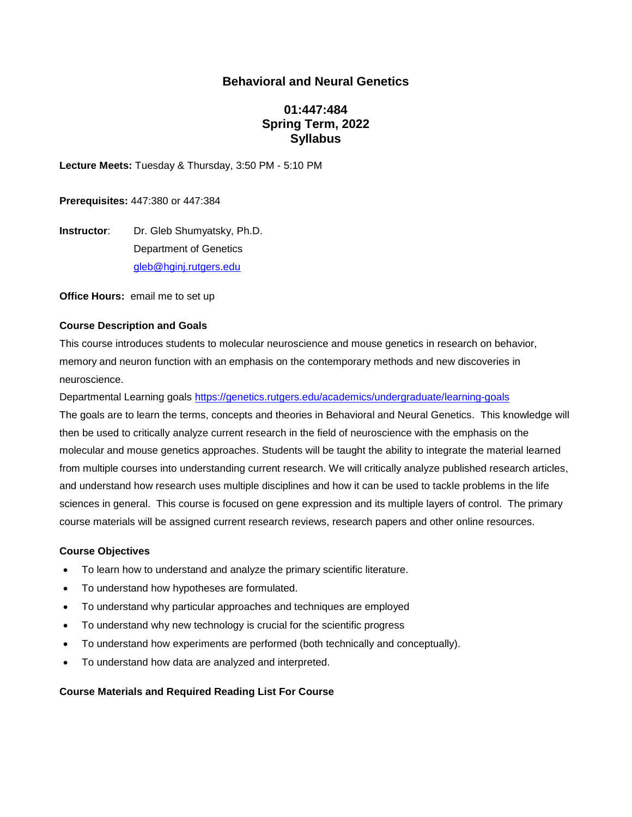## **Behavioral and Neural Genetics**

# **01:447:484 Spring Term, 2022 Syllabus**

**Lecture Meets:** Tuesday & Thursday, 3:50 PM - 5:10 PM

**Prerequisites:** 447:380 or 447:384

**Instructor:** Dr. Gleb Shumyatsky, Ph.D. Department of Genetics [gleb@hginj.rutgers.edu](mailto:gleb@hginj.rutgers.edu)

**Office Hours:** email me to set up

#### **Course Description and Goals**

This course introduces students to molecular neuroscience and mouse genetics in research on behavior, memory and neuron function with an emphasis on the contemporary methods and new discoveries in neuroscience.

Departmental Learning goals <https://genetics.rutgers.edu/academics/undergraduate/learning-goals>

The goals are to learn the terms, concepts and theories in Behavioral and Neural Genetics. This knowledge will then be used to critically analyze current research in the field of neuroscience with the emphasis on the molecular and mouse genetics approaches. Students will be taught the ability to integrate the material learned from multiple courses into understanding current research. We will critically analyze published research articles, and understand how research uses multiple disciplines and how it can be used to tackle problems in the life sciences in general. This course is focused on gene expression and its multiple layers of control. The primary course materials will be assigned current research reviews, research papers and other online resources.

#### **Course Objectives**

- To learn how to understand and analyze the primary scientific literature.
- To understand how hypotheses are formulated.
- To understand why particular approaches and techniques are employed
- To understand why new technology is crucial for the scientific progress
- To understand how experiments are performed (both technically and conceptually).
- To understand how data are analyzed and interpreted.

#### **Course Materials and Required Reading List For Course**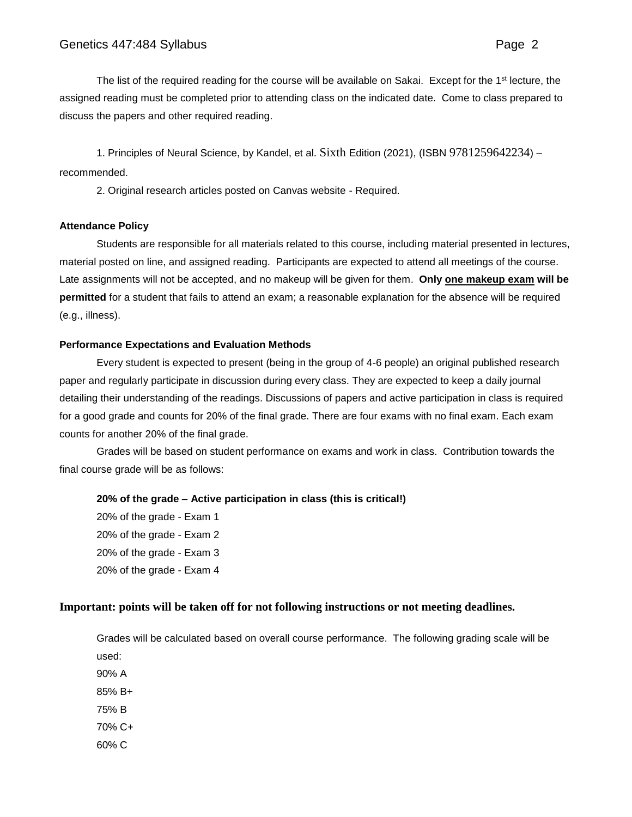The list of the required reading for the course will be available on Sakai. Except for the 1<sup>st</sup> lecture, the assigned reading must be completed prior to attending class on the indicated date. Come to class prepared to discuss the papers and other required reading.

1. Principles of Neural Science, by Kandel, et al. Sixth Edition (2021), (ISBN 9781259642234) – recommended.

2. Original research articles posted on Canvas website - Required.

#### **Attendance Policy**

Students are responsible for all materials related to this course, including material presented in lectures, material posted on line, and assigned reading. Participants are expected to attend all meetings of the course. Late assignments will not be accepted, and no makeup will be given for them. **Only one makeup exam will be permitted** for a student that fails to attend an exam; a reasonable explanation for the absence will be required (e.g., illness).

#### **Performance Expectations and Evaluation Methods**

Every student is expected to present (being in the group of 4-6 people) an original published research paper and regularly participate in discussion during every class. They are expected to keep a daily journal detailing their understanding of the readings. Discussions of papers and active participation in class is required for a good grade and counts for 20% of the final grade. There are four exams with no final exam. Each exam counts for another 20% of the final grade.

Grades will be based on student performance on exams and work in class. Contribution towards the final course grade will be as follows:

#### **20% of the grade – Active participation in class (this is critical!)**

20% of the grade - Exam 1 20% of the grade - Exam 2 20% of the grade - Exam 3 20% of the grade - Exam 4

### **Important: points will be taken off for not following instructions or not meeting deadlines.**

Grades will be calculated based on overall course performance. The following grading scale will be used:

90% A

- 85% B+
- 75% B
- 70% C+
- 60% C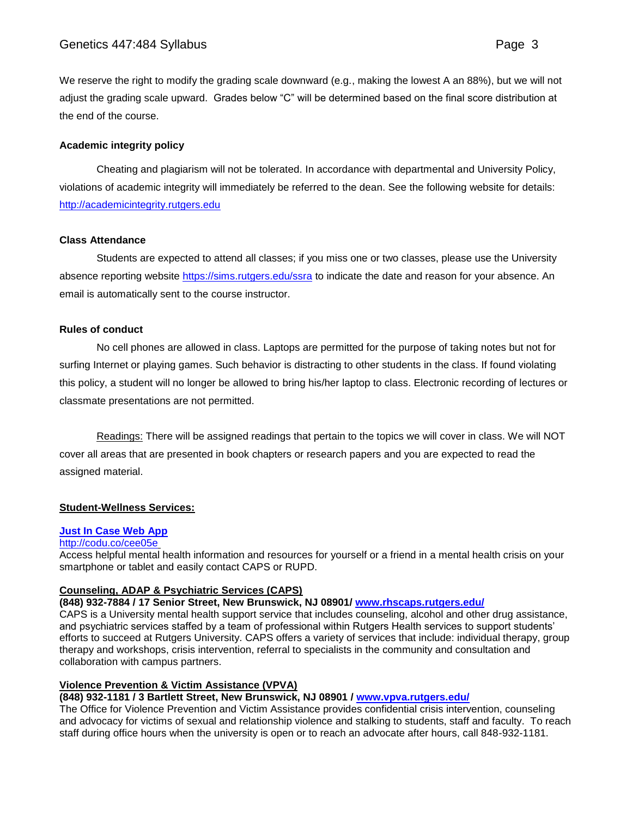We reserve the right to modify the grading scale downward (e.g., making the lowest A an 88%), but we will not adjust the grading scale upward. Grades below "C" will be determined based on the final score distribution at the end of the course.

### **Academic integrity policy**

Cheating and plagiarism will not be tolerated. In accordance with departmental and University Policy, violations of academic integrity will immediately be referred to the dean. See the following website for details: [http://academicintegrity.rutgers.edu](http://academicintegrity.rutgers.edu/)

### **Class Attendance**

Students are expected to attend all classes; if you miss one or two classes, please use the University absence reporting website<https://sims.rutgers.edu/ssra> to indicate the date and reason for your absence. An email is automatically sent to the course instructor.

### **Rules of conduct**

No cell phones are allowed in class. Laptops are permitted for the purpose of taking notes but not for surfing Internet or playing games. Such behavior is distracting to other students in the class. If found violating this policy, a student will no longer be allowed to bring his/her laptop to class. Electronic recording of lectures or classmate presentations are not permitted.

Readings: There will be assigned readings that pertain to the topics we will cover in class. We will NOT cover all areas that are presented in book chapters or research papers and you are expected to read the assigned material.

### **Student-Wellness Services:**

### **[Just In Case Web App](http://m.appcreatorpro.com/m/rutgers/fda9f59ca5/fda9f59ca5.html)**

#### <http://codu.co/cee05e>

Access helpful mental health information and resources for yourself or a friend in a mental health crisis on your smartphone or tablet and easily contact CAPS or RUPD.

### **Counseling, ADAP & Psychiatric Services (CAPS)**

**(848) 932-7884 / 17 Senior Street, New Brunswick, NJ 08901/ [www.rhscaps.rutgers.edu/](http://www.rhscaps.rutgers.edu/)**

CAPS is a University mental health support service that includes counseling, alcohol and other drug assistance, and psychiatric services staffed by a team of professional within Rutgers Health services to support students' efforts to succeed at Rutgers University. CAPS offers a variety of services that include: individual therapy, group therapy and workshops, crisis intervention, referral to specialists in the community and consultation and collaboration with campus partners.

### **Violence Prevention & Victim Assistance (VPVA)**

## **(848) 932-1181 / 3 Bartlett Street, New Brunswick, NJ 08901 / [www.vpva.rutgers.edu/](http://www.vpva.rutgers.edu/)**

The Office for Violence Prevention and Victim Assistance provides confidential crisis intervention, counseling and advocacy for victims of sexual and relationship violence and stalking to students, staff and faculty. To reach staff during office hours when the university is open or to reach an advocate after hours, call 848-932-1181.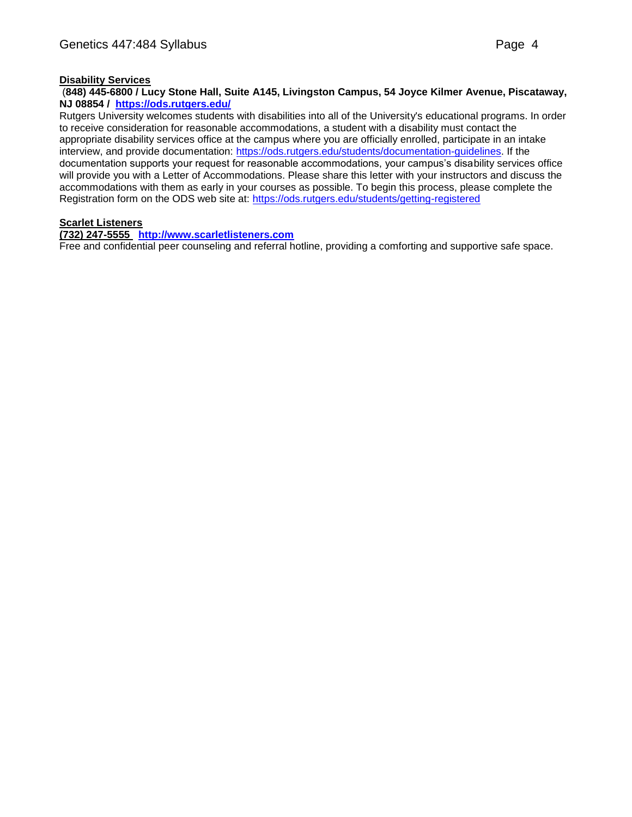# **Disability Services**

## (**848) 445-6800 / Lucy Stone Hall, Suite A145, Livingston Campus, 54 Joyce Kilmer Avenue, Piscataway, NJ 08854 / <https://ods.rutgers.edu/>**

Rutgers University welcomes students with disabilities into all of the University's educational programs. In order to receive consideration for reasonable accommodations, a student with a disability must contact the appropriate disability services office at the campus where you are officially enrolled, participate in an intake interview, and provide documentation: [https://ods.rutgers.edu/students/documentation-guidelines.](https://ods.rutgers.edu/students/documentation-guidelines) If the documentation supports your request for reasonable accommodations, your campus's disability services office will provide you with a Letter of Accommodations. Please share this letter with your instructors and discuss the accommodations with them as early in your courses as possible. To begin this process, please complete the Registration form on the ODS web site at: <https://ods.rutgers.edu/students/getting-registered>

# **Scarlet Listeners**

# **(732) 247-5555 [http://www.scarletlisteners.com](http://www.scarletlisteners.com/)**

Free and confidential peer counseling and referral hotline, providing a comforting and supportive safe space.